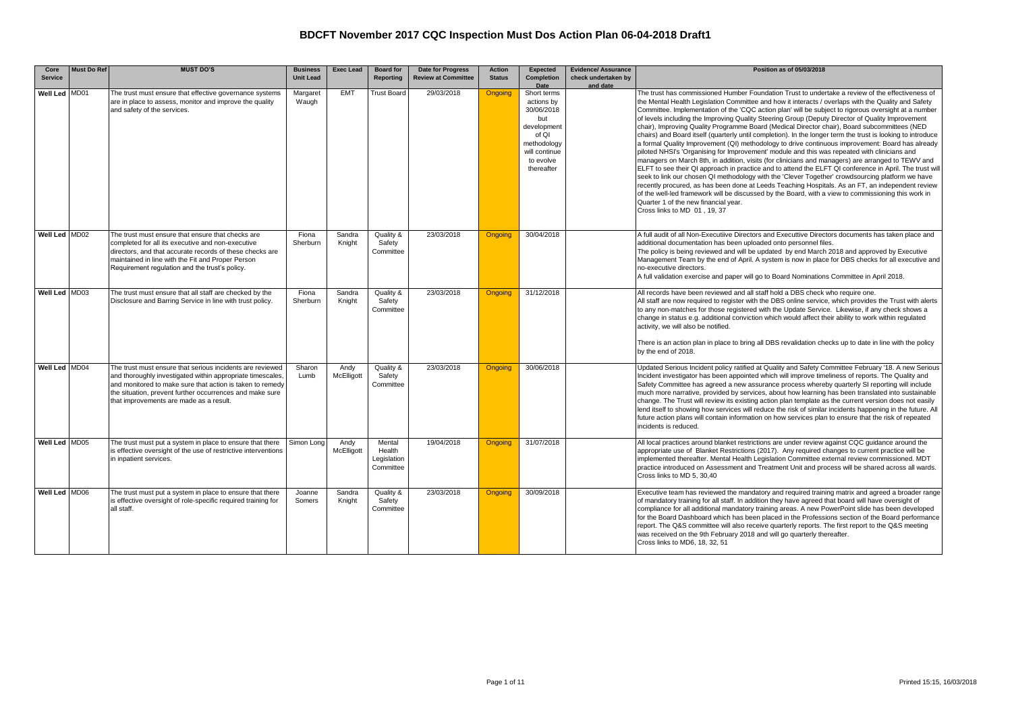| Core<br><b>Service</b> | <b>Must Do Ref</b> | <b>MUST DO'S</b>                                                                                                                                                                                                                                                                            | <b>Business</b><br><b>Unit Lead</b> | <b>Exec Lead</b>   | <b>Board for</b><br><b>Reporting</b>         | <b>Date for Progress</b><br><b>Review at Committee</b> | <b>Action</b><br><b>Status</b> | <b>Expected</b><br><b>Completion</b>                                                                                                      | <b>Evidence/ Assurance</b><br>check undertaken by | Position as of 05/03/2018                                                                                                                                                                                                                                                                                                                                                                                                                                                                                                                                                                                                                                                                                                                                                                                                                                                                                                                                                                                                                                                                                                                                                                                                                                                                                                                                                                                                                     |
|------------------------|--------------------|---------------------------------------------------------------------------------------------------------------------------------------------------------------------------------------------------------------------------------------------------------------------------------------------|-------------------------------------|--------------------|----------------------------------------------|--------------------------------------------------------|--------------------------------|-------------------------------------------------------------------------------------------------------------------------------------------|---------------------------------------------------|-----------------------------------------------------------------------------------------------------------------------------------------------------------------------------------------------------------------------------------------------------------------------------------------------------------------------------------------------------------------------------------------------------------------------------------------------------------------------------------------------------------------------------------------------------------------------------------------------------------------------------------------------------------------------------------------------------------------------------------------------------------------------------------------------------------------------------------------------------------------------------------------------------------------------------------------------------------------------------------------------------------------------------------------------------------------------------------------------------------------------------------------------------------------------------------------------------------------------------------------------------------------------------------------------------------------------------------------------------------------------------------------------------------------------------------------------|
| Well Led MD01          |                    | The trust must ensure that effective governance systems<br>are in place to assess, monitor and improve the quality<br>and safety of the services.                                                                                                                                           | Margaret<br>Waugh                   | <b>EMT</b>         | <b>Trust Board</b>                           | 29/03/2018                                             | Ongoing                        | Date<br>Short terms<br>actions by<br>30/06/2018<br>but<br>development<br>of QI<br>methodology<br>will continue<br>to evolve<br>thereafter | and date                                          | The trust has commissioned Humber Foundation Trust to undertake a review of the effectiveness of<br>the Mental Health Legislation Committee and how it interacts / overlaps with the Quality and Safety<br>Committee. Implementation of the 'CQC action plan' will be subject to rigorous oversight at a number<br>of levels including the Improving Quality Steering Group (Deputy Director of Quality Improvement<br>chair), Improving Quality Programme Board (Medical Director chair), Board subcommittees (NED<br>chairs) and Board itself (quarterly until completion). In the longer term the trust is looking to introduce<br>a formal Quality Improvement (QI) methodology to drive continuous improvement: Board has already<br>piloted NHSI's 'Organising for Improvement' module and this was repeated with clinicians and<br>managers on March 8th, in addition, visits (for clinicians and managers) are arranged to TEWV and<br>ELFT to see their QI approach in practice and to attend the ELFT QI conference in April. The trust will<br>seek to link our chosen QI methodology with the 'Clever Together' crowdsourcing platform we have<br>recently procured, as has been done at Leeds Teaching Hospitals. As an FT, an independent review<br>of the well-led framework will be discussed by the Board, with a view to commissioning this work in<br>Quarter 1 of the new financial year.<br>Cross links to MD 01, 19, 37 |
| Well Led MD02          |                    | The trust must ensure that ensure that checks are<br>completed for all its executive and non-executive<br>directors, and that accurate records of these checks are<br>maintained in line with the Fit and Proper Person<br>Requirement regulation and the trust's policy.                   | Fiona<br>Sherburn                   | Sandra<br>Knight   | Quality &<br>Safety<br>Committee             | 23/03/2018                                             | <b>Ongoing</b>                 | 30/04/2018                                                                                                                                |                                                   | A full audit of all Non-Executiive Directors and Executtive Directors documents has taken place and<br>additional documentation has been uploaded onto personnel files.<br>The policy is being reviewed and will be updated by end March 2018 and approved by Executive<br>Management Team by the end of April. A system is now in place for DBS checks for all executive and<br>no-executive directors.<br>A full validation exercise and paper will go to Board Nominations Committee in April 2018.                                                                                                                                                                                                                                                                                                                                                                                                                                                                                                                                                                                                                                                                                                                                                                                                                                                                                                                                        |
| Well Led MD03          |                    | The trust must ensure that all staff are checked by the<br>Disclosure and Barring Service in line with trust policy.                                                                                                                                                                        | Fiona<br>Sherburn                   | Sandra<br>Knight   | Quality &<br>Safety<br>Committee             | 23/03/2018                                             | <b>Ongoing</b>                 | 31/12/2018                                                                                                                                |                                                   | All records have been reviewed and all staff hold a DBS check who require one.<br>All staff are now required to register with the DBS online service, which provides the Trust with alerts<br>to any non-matches for those registered with the Update Service. Likewise, if any check shows a<br>change in status e.g. additional conviction which would affect their ability to work within regulated<br>activity, we will also be notified.<br>There is an action plan in place to bring all DBS revalidation checks up to date in line with the policy<br>by the end of 2018.                                                                                                                                                                                                                                                                                                                                                                                                                                                                                                                                                                                                                                                                                                                                                                                                                                                              |
| Well Led MD04          |                    | The trust must ensure that serious incidents are reviewed<br>and thoroughly investigated within appropriate timescales,<br>and monitored to make sure that action is taken to remedy<br>the situation, prevent further occurrences and make sure<br>that improvements are made as a result. | Sharon<br>Lumb                      | Andy<br>McElligott | Quality &<br>Safety<br>Committee             | 23/03/2018                                             | <b>Ongoing</b>                 | 30/06/2018                                                                                                                                |                                                   | Updated Serious Incident policy ratified at Quality and Safety Committee February '18. A new Serious<br>Incident investigator has been appointed which will improve timeliness of reports. The Quality and<br>Safety Committee has agreed a new assurance process whereby quarterly SI reporting will include<br>much more narrative, provided by services, about how learning has been translated into sustainable<br>change. The Trust will review its existing action plan template as the current version does not easily<br>lend itself to showing how services will reduce the risk of similar incidents happening in the future. All<br>future action plans will contain information on how services plan to ensure that the risk of repeated<br>incidents is reduced.                                                                                                                                                                                                                                                                                                                                                                                                                                                                                                                                                                                                                                                                 |
| Well Led MD05          |                    | The trust must put a system in place to ensure that there<br>is effective oversight of the use of restrictive interventions<br>in inpatient services.                                                                                                                                       | Simon Long                          | Andy<br>McElligott | Mental<br>Health<br>Legislation<br>Committee | 19/04/2018                                             | <b>Ongoing</b>                 | 31/07/2018                                                                                                                                |                                                   | All local practices around blanket restrictions are under review against CQC quidance around the<br>appropriate use of Blanket Restrictions (2017). Any required changes to current practice will be<br>implemented thereafter. Mental Health Legislation Committee external review commissioned. MDT<br>practice introduced on Assessment and Treatment Unit and process will be shared across all wards.<br>Cross links to MD 5, 30,40                                                                                                                                                                                                                                                                                                                                                                                                                                                                                                                                                                                                                                                                                                                                                                                                                                                                                                                                                                                                      |
| Well Led MD06          |                    | The trust must put a system in place to ensure that there<br>is effective oversight of role-specific required training for<br>all staff.                                                                                                                                                    | Joanne<br>Somers                    | Sandra<br>Knight   | Quality &<br>Safety<br>Committee             | 23/03/2018                                             | <b>Ongoing</b>                 | 30/09/2018                                                                                                                                |                                                   | Executive team has reviewed the mandatory and required training matrix and agreed a broader range<br>of mandatory training for all staff. In addition they have agreed that board will have oversight of<br>compliance for all additional mandatory training areas. A new PowerPoint slide has been developed<br>for the Board Dashboard which has been placed in the Professions section of the Board performance<br>report. The Q&S committee will also receive quarterly reports. The first report to the Q&S meeting<br>was received on the 9th February 2018 and will go quarterly thereafter.<br>Cross links to MD6, 18, 32, 51                                                                                                                                                                                                                                                                                                                                                                                                                                                                                                                                                                                                                                                                                                                                                                                                         |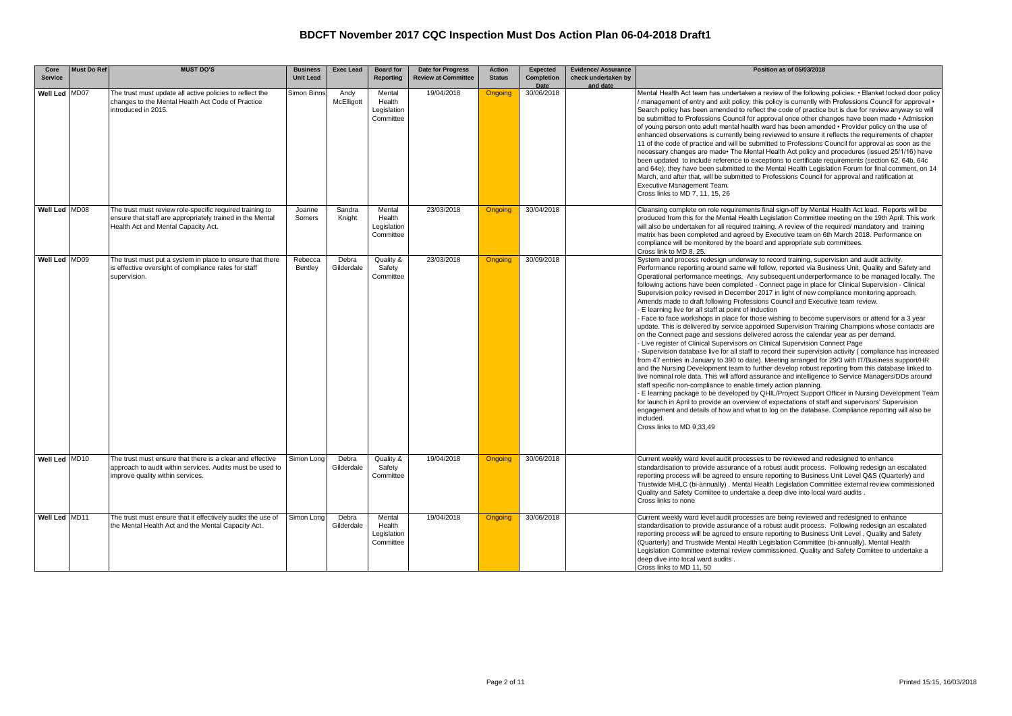| Core<br><b>Service</b> | <b>Must Do Ref</b> | <b>MUST DO'S</b>                                                                                                                                             | <b>Business</b><br><b>Unit Lead</b> | <b>Exec Lead</b>    | <b>Board for</b><br>Reporting                | <b>Date for Progress</b><br><b>Review at Committee</b> | <b>Action</b><br><b>Status</b> | Expected<br>Completion | <b>Evidence/ Assurance</b><br>check undertaken by | Position as of 05/03/2018                                                                                                                                                                                                                                                                                                                                                                                                                                                                                                                                                                                                                                                                                                                                                                                                                                                                                                                                                                                                                                                                                                                                                                                                                                                                                                                                                                                                                                                                                                                                                                                                                                                                                                                                                                                                                                              |
|------------------------|--------------------|--------------------------------------------------------------------------------------------------------------------------------------------------------------|-------------------------------------|---------------------|----------------------------------------------|--------------------------------------------------------|--------------------------------|------------------------|---------------------------------------------------|------------------------------------------------------------------------------------------------------------------------------------------------------------------------------------------------------------------------------------------------------------------------------------------------------------------------------------------------------------------------------------------------------------------------------------------------------------------------------------------------------------------------------------------------------------------------------------------------------------------------------------------------------------------------------------------------------------------------------------------------------------------------------------------------------------------------------------------------------------------------------------------------------------------------------------------------------------------------------------------------------------------------------------------------------------------------------------------------------------------------------------------------------------------------------------------------------------------------------------------------------------------------------------------------------------------------------------------------------------------------------------------------------------------------------------------------------------------------------------------------------------------------------------------------------------------------------------------------------------------------------------------------------------------------------------------------------------------------------------------------------------------------------------------------------------------------------------------------------------------------|
| <b>Well Led</b>        | MD07               | The trust must update all active policies to reflect the<br>changes to the Mental Health Act Code of Practice<br>introduced in 2015.                         | Simon Binns                         | Andy<br>McElligott  | Mental<br>Health<br>Legislation<br>Committee | 19/04/2018                                             | Ongoing                        | Date<br>30/06/2018     | and date                                          | Mental Health Act team has undertaken a review of the following policies: • Blanket locked door policy<br>* management of entry and exit policy; this policy is currently with Professions Council for approval<br>Search policy has been amended to reflect the code of practice but is due for review anyway so will<br>be submitted to Professions Council for approval once other changes have been made • Admission<br>of young person onto adult mental health ward has been amended • Provider policy on the use of<br>enhanced observations is currently being reviewed to ensure it reflects the requirements of chapter<br>11 of the code of practice and will be submitted to Professions Council for approval as soon as the<br>necessary changes are made• The Mental Health Act policy and procedures (issued 25/1/16) have<br>been updated to include reference to exceptions to certificate requirements (section 62, 64b, 64c<br>and 64e); they have been submitted to the Mental Health Legislation Forum for final comment, on 14<br>March, and after that, will be submitted to Professions Council for approval and ratification at<br>Executive Management Team.<br>Cross links to MD 7, 11, 15, 26                                                                                                                                                                                                                                                                                                                                                                                                                                                                                                                                                                                                                                              |
| Well Led MD08          |                    | The trust must review role-specific required training to<br>ensure that staff are appropriately trained in the Mental<br>Health Act and Mental Capacity Act. | Joanne<br>Somers                    | Sandra<br>Knight    | Mental<br>Health<br>Legislation<br>Committee | 23/03/2018                                             | <b>Ongoing</b>                 | 30/04/2018             |                                                   | Cleansing complete on role requirements final sign-off by Mental Health Act lead. Reports will be<br>produced from this for the Mental Health Legislation Committee meeting on the 19th April. This work<br>will also be undertaken for all required training. A review of the required/ mandatory and training<br>matrix has been completed and agreed by Executive team on 6th March 2018. Performance on<br>compliance will be monitored by the board and appropriate sub committees.<br>Cross link to MD 8, 25.                                                                                                                                                                                                                                                                                                                                                                                                                                                                                                                                                                                                                                                                                                                                                                                                                                                                                                                                                                                                                                                                                                                                                                                                                                                                                                                                                    |
| Well Led MD09          |                    | The trust must put a system in place to ensure that there<br>is effective oversight of compliance rates for staff<br>supervision.                            | Rebecca<br>Bentley                  | Debra<br>Gilderdale | Quality &<br>Safety<br>Committee             | 23/03/2018                                             | <b>Ongoing</b>                 | 30/09/2018             |                                                   | System and process redesign underway to record training, supervision and audit activity.<br>Performance reporting around same will follow, reported via Business Unit, Quality and Safety and<br>Operational performance meetings. Any subsequent underperformance to be managed locally. The<br>following actions have been completed - Connect page in place for Clinical Supervision - Clinical<br>Supervision policy revised in December 2017 in light of new compliance monitoring approach.<br>Amends made to draft following Professions Council and Executive team review.<br>E learning live for all staff at point of induction<br>Face to face workshops in place for those wishing to become supervisors or attend for a 3 year<br>update. This is delivered by service appointed Supervision Training Champions whose contacts are<br>on the Connect page and sessions delivered across the calendar year as per demand.<br>- Live register of Clinical Supervisors on Clinical Supervision Connect Page<br>Supervision database live for all staff to record their supervision activity (compliance has increased<br>from 47 entries in January to 390 to date). Meeting arranged for 29/3 with IT/Business support/HR<br>and the Nursing Development team to further develop robust reporting from this database linked to<br>live nominal role data. This will afford assurance and intelligence to Service Managers/DDs around<br>staff specific non-compliance to enable timely action planning.<br>E learning package to be developed by QHIL/Project Support Officer in Nursing Development Team<br>for launch in April to provide an overview of expectations of staff and supervisors' Supervision<br>engagement and details of how and what to log on the database. Compliance reporting will also be<br>included.<br>Cross links to MD 9,33,49 |
| Well Led MD10          |                    | The trust must ensure that there is a clear and effective<br>approach to audit within services. Audits must be used to<br>mprove quality within services.    | Simon Long                          | Debra<br>Gilderdale | Quality &<br>Safety<br>Committee             | 19/04/2018                                             | Ongoing                        | 30/06/2018             |                                                   | Current weekly ward level audit processes to be reviewed and redesigned to enhance<br>standardisation to provide assurance of a robust audit process. Following redesign an escalated<br>reporting process will be agreed to ensure reporting to Business Unit Level Q&S (Quarterly) and<br>Trustwide MHLC (bi-annually). Mental Health Legislation Committee external review commissioned<br>Quality and Safety Comiitee to undertake a deep dive into local ward audits.<br>Cross links to none                                                                                                                                                                                                                                                                                                                                                                                                                                                                                                                                                                                                                                                                                                                                                                                                                                                                                                                                                                                                                                                                                                                                                                                                                                                                                                                                                                      |
| Well Led MD11          |                    | The trust must ensure that it effectively audits the use of<br>the Mental Health Act and the Mental Capacity Act.                                            | Simon Long                          | Debra<br>Gilderdale | Mental<br>Health<br>Legislation<br>Committee | 19/04/2018                                             | <b>Ongoing</b>                 | 30/06/2018             |                                                   | Current weekly ward level audit processes are being reviewed and redesigned to enhance<br>standardisation to provide assurance of a robust audit process. Following redesign an escalated<br>reporting process will be agreed to ensure reporting to Business Unit Level, Quality and Safety<br>(Quarterly) and Trustwide Mental Health Legislation Committee (bi-annually). Mental Health<br>Legislation Committee external review commissioned. Quality and Safety Comiitee to undertake a<br>deep dive into local ward audits.<br>Cross links to MD 11, 50                                                                                                                                                                                                                                                                                                                                                                                                                                                                                                                                                                                                                                                                                                                                                                                                                                                                                                                                                                                                                                                                                                                                                                                                                                                                                                          |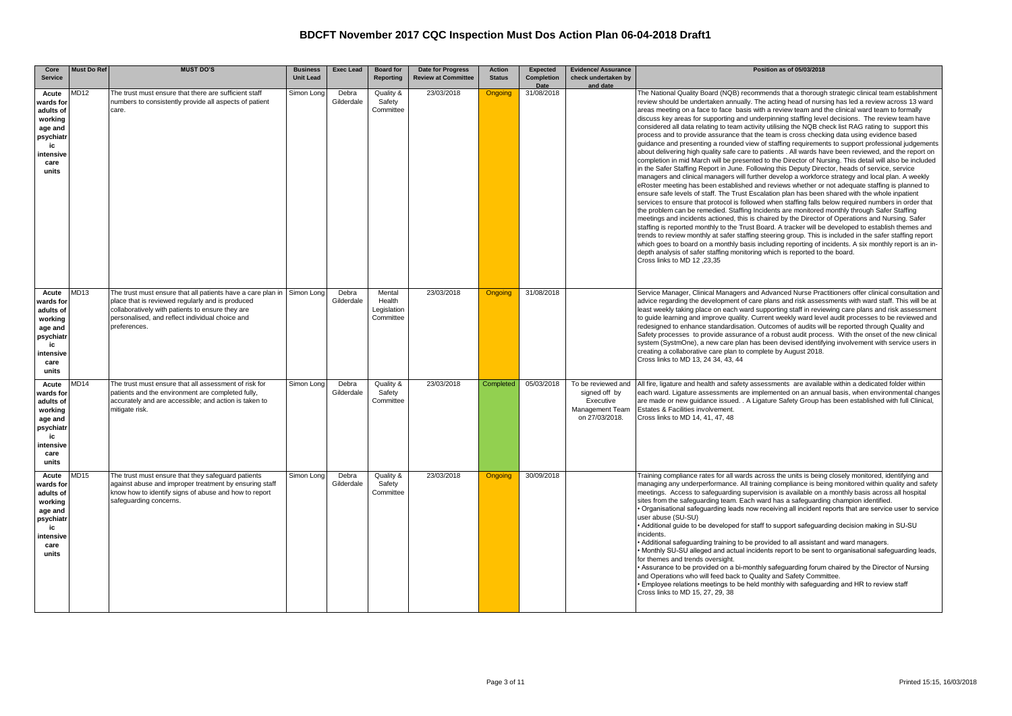| Core                                                                                                   | <b>Must Do Ref</b> | <b>MUST DO'S</b>                                                                                                                                                                                                                                  | <b>Business</b>  | <b>Exec Lead</b>    | <b>Board for</b>                             | <b>Date for Progress</b>   | <b>Action</b>  | Expected                  | <b>Evidence/ Assurance</b>                                                            | Position as of 05/03/2018                                                                                                                                                                                                                                                                                                                                                                                                                                                                                                                                                                                                                                                                                                                                                                                                                                                                                                                                                                                                                                                                                                                                                                                                                                                                                                                                                                                                                                                                                                                                                                                                                                                                                                                                                                                                                                                                                                                                                                                                                                                                                              |
|--------------------------------------------------------------------------------------------------------|--------------------|---------------------------------------------------------------------------------------------------------------------------------------------------------------------------------------------------------------------------------------------------|------------------|---------------------|----------------------------------------------|----------------------------|----------------|---------------------------|---------------------------------------------------------------------------------------|------------------------------------------------------------------------------------------------------------------------------------------------------------------------------------------------------------------------------------------------------------------------------------------------------------------------------------------------------------------------------------------------------------------------------------------------------------------------------------------------------------------------------------------------------------------------------------------------------------------------------------------------------------------------------------------------------------------------------------------------------------------------------------------------------------------------------------------------------------------------------------------------------------------------------------------------------------------------------------------------------------------------------------------------------------------------------------------------------------------------------------------------------------------------------------------------------------------------------------------------------------------------------------------------------------------------------------------------------------------------------------------------------------------------------------------------------------------------------------------------------------------------------------------------------------------------------------------------------------------------------------------------------------------------------------------------------------------------------------------------------------------------------------------------------------------------------------------------------------------------------------------------------------------------------------------------------------------------------------------------------------------------------------------------------------------------------------------------------------------------|
| <b>Service</b>                                                                                         |                    |                                                                                                                                                                                                                                                   | <b>Unit Lead</b> |                     | Reporting                                    | <b>Review at Committee</b> | <b>Status</b>  | <b>Completion</b><br>Date | check undertaken by<br>and date                                                       |                                                                                                                                                                                                                                                                                                                                                                                                                                                                                                                                                                                                                                                                                                                                                                                                                                                                                                                                                                                                                                                                                                                                                                                                                                                                                                                                                                                                                                                                                                                                                                                                                                                                                                                                                                                                                                                                                                                                                                                                                                                                                                                        |
| Acute<br>wards for<br>adults of<br>working<br>age and<br>psychiatr<br>ic<br>intensive<br>care<br>units | AD12               | The trust must ensure that there are sufficient staff<br>numbers to consistently provide all aspects of patient<br>care.                                                                                                                          | Simon Long       | Debra<br>Gilderdale | Quality &<br>Safety<br>Committee             | 23/03/2018                 | <b>Ongoing</b> | 31/08/2018                |                                                                                       | The National Quality Board (NQB) recommends that a thorough strategic clinical team establishment<br>review should be undertaken annually. The acting head of nursing has led a review across 13 ward<br>areas meeting on a face to face basis with a review team and the clinical ward team to formally<br>discuss key areas for supporting and underpinning staffing level decisions. The review team have<br>considered all data relating to team activity utilising the NQB check list RAG rating to support this<br>process and to provide assurance that the team is cross checking data using evidence based<br>quidance and presenting a rounded view of staffing requirements to support professional judgements<br>about delivering high quality safe care to patients . All wards have been reviewed, and the report on<br>completion in mid March will be presented to the Director of Nursing. This detail will also be included<br>in the Safer Staffing Report in June. Following this Deputy Director, heads of service, service<br>managers and clinical managers will further develop a workforce strategy and local plan. A weekly<br>eRoster meeting has been established and reviews whether or not adequate staffing is planned to<br>ensure safe levels of staff. The Trust Escalation plan has been shared with the whole inpatient<br>services to ensure that protocol is followed when staffing falls below required numbers in order that<br>the problem can be remedied. Staffing Incidents are monitored monthly through Safer Staffing<br>meetings and incidents actioned, this is chaired by the Director of Operations and Nursing. Safer<br>staffing is reported monthly to the Trust Board. A tracker will be developed to establish themes and<br>trends to review monthly at safer staffing steering group. This is included in the safer staffing report<br>which goes to board on a monthly basis including reporting of incidents. A six monthly report is an in-<br>depth analysis of safer staffing monitoring which is reported to the board.<br>Cross links to MD 12 .23.35 |
| Acute<br>wards for<br>adults of<br>working<br>age and<br>psychiatr<br>ic<br>intensive<br>care<br>units | <b>MD13</b>        | The trust must ensure that all patients have a care plan in Simon Long<br>place that is reviewed regularly and is produced<br>collaboratively with patients to ensure they are<br>personalised, and reflect individual choice and<br>preferences. |                  | Debra<br>Gilderdale | Mental<br>Health<br>Legislation<br>Committee | 23/03/2018                 | <b>Ongoing</b> | 31/08/2018                |                                                                                       | Service Manager, Clinical Managers and Advanced Nurse Practitioners offer clinical consultation and<br>advice regarding the development of care plans and risk assessments with ward staff. This will be at<br>least weekly taking place on each ward supporting staff in reviewing care plans and risk assessment<br>to guide learning and improve quality. Current weekly ward level audit processes to be reviewed and<br>redesigned to enhance standardisation. Outcomes of audits will be reported through Quality and<br>Safety processes to provide assurance of a robust audit process. With the onset of the new clinical<br>system (SystmOne), a new care plan has been devised identifying involvement with service users in<br>creating a collaborative care plan to complete by August 2018.<br>Cross links to MD 13, 24 34, 43, 44                                                                                                                                                                                                                                                                                                                                                                                                                                                                                                                                                                                                                                                                                                                                                                                                                                                                                                                                                                                                                                                                                                                                                                                                                                                                       |
| Acute<br>wards for<br>adults of<br>working<br>age and<br>psychiatr<br>ic<br>intensive<br>care<br>units | MD14               | The trust must ensure that all assessment of risk for<br>patients and the environment are completed fully,<br>accurately and are accessible; and action is taken to<br>mitigate risk.                                                             | Simon Long       | Debra<br>Gilderdale | Quality &<br>Safety<br>Committee             | 23/03/2018                 | Completed      | 05/03/2018                | To be reviewed and<br>signed off by<br>Executive<br>Management Team<br>on 27/03/2018. | All fire, ligature and health and safety assessments are available within a dedicated folder within<br>each ward. Ligature assessments are implemented on an annual basis, when environmental changes<br>are made or new quidance issued. . A Ligature Safety Group has been established with full Clinical,<br>Estates & Facilities involvement.<br>Cross links to MD 14, 41, 47, 48                                                                                                                                                                                                                                                                                                                                                                                                                                                                                                                                                                                                                                                                                                                                                                                                                                                                                                                                                                                                                                                                                                                                                                                                                                                                                                                                                                                                                                                                                                                                                                                                                                                                                                                                  |
| Acute<br>wards for<br>adults of<br>working<br>age and<br>psychiatr<br>ic<br>intensive<br>care<br>units | MD15               | The trust must ensure that they safeguard patients<br>against abuse and improper treatment by ensuring staff<br>know how to identify signs of abuse and how to report<br>safeguarding concerns.                                                   | Simon Long       | Debra<br>Gilderdale | Quality &<br>Safety<br>Committee             | 23/03/2018                 | Ongoing        | 30/09/2018                |                                                                                       | Training compliance rates for all wards across the units is being closely monitored, identifying and<br>managing any underperformance. All training compliance is being monitored within quality and safety<br>meetings. Access to safequarding supervision is available on a monthly basis across all hospital<br>sites from the safeguarding team. Each ward has a safeguarding champion identified.<br>Organisational safeguarding leads now receiving all incident reports that are service user to service<br>user abuse (SU-SU)<br>• Additional quide to be developed for staff to support safequarding decision making in SU-SU<br>incidents.<br>• Additional safeguarding training to be provided to all assistant and ward managers.<br>Monthly SU-SU alleged and actual incidents report to be sent to organisational safequarding leads,<br>for themes and trends oversight.<br>Assurance to be provided on a bi-monthly safequarding forum chaired by the Director of Nursing<br>and Operations who will feed back to Quality and Safety Committee.<br>• Employee relations meetings to be held monthly with safeguarding and HR to review staff<br>Cross links to MD 15, 27, 29, 38                                                                                                                                                                                                                                                                                                                                                                                                                                                                                                                                                                                                                                                                                                                                                                                                                                                                                                                       |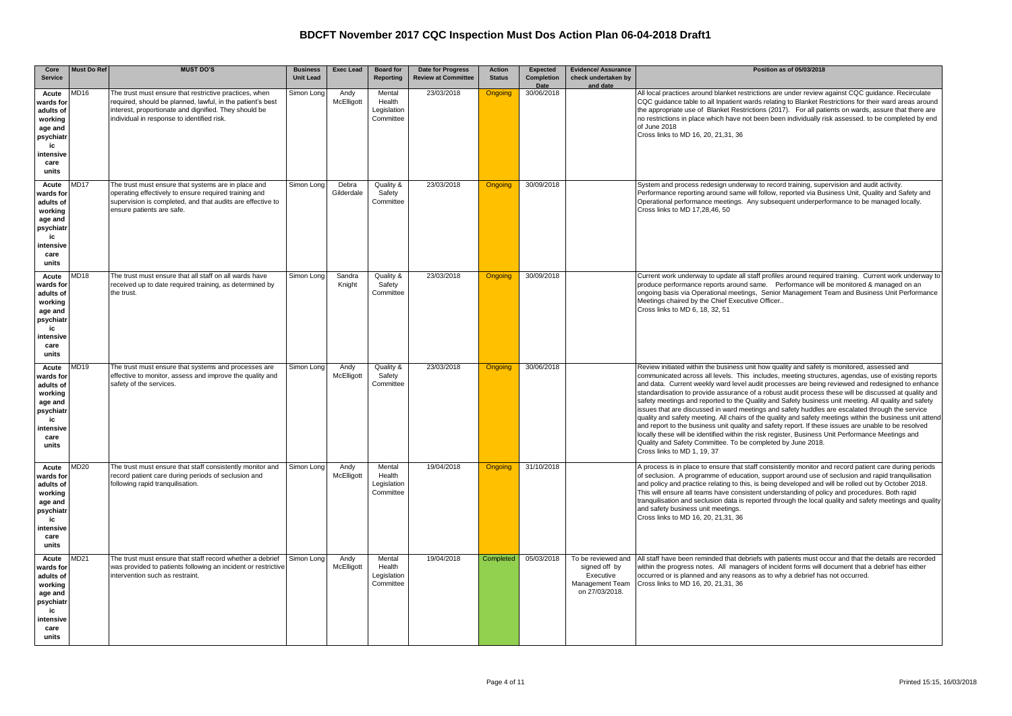| Core<br><b>Service</b>                                                                                 | <b>Must Do Ref</b> | <b>MUST DO'S</b>                                                                                                                                                                                                           | <b>Business</b><br><b>Unit Lead</b> | <b>Exec Lead</b>    | <b>Board for</b><br>Reporting                | Date for Progress<br><b>Review at Committee</b> | <b>Action</b><br><b>Status</b> | Expected<br>Completion | <b>Evidence/ Assurance</b><br>check undertaken by                                     | Position as of 05/03/2018                                                                                                                                                                                                                                                                                                                                                                                                                                                                                                                                                                                                                                                                                                                                                                                                                                                                                                                                                                                                                          |
|--------------------------------------------------------------------------------------------------------|--------------------|----------------------------------------------------------------------------------------------------------------------------------------------------------------------------------------------------------------------------|-------------------------------------|---------------------|----------------------------------------------|-------------------------------------------------|--------------------------------|------------------------|---------------------------------------------------------------------------------------|----------------------------------------------------------------------------------------------------------------------------------------------------------------------------------------------------------------------------------------------------------------------------------------------------------------------------------------------------------------------------------------------------------------------------------------------------------------------------------------------------------------------------------------------------------------------------------------------------------------------------------------------------------------------------------------------------------------------------------------------------------------------------------------------------------------------------------------------------------------------------------------------------------------------------------------------------------------------------------------------------------------------------------------------------|
|                                                                                                        | MD16               |                                                                                                                                                                                                                            |                                     |                     | Mental                                       | 23/03/2018                                      |                                | Date<br>30/06/2018     | and date                                                                              |                                                                                                                                                                                                                                                                                                                                                                                                                                                                                                                                                                                                                                                                                                                                                                                                                                                                                                                                                                                                                                                    |
| Acute<br>wards for<br>adults of<br>working<br>age and<br>psychiatr<br>ic<br>ntensive<br>care<br>units  |                    | The trust must ensure that restrictive practices, when<br>equired, should be planned, lawful, in the patient's best<br>interest, proportionate and dignified. They should be<br>individual in response to identified risk. | Simon Long                          | Andy<br>McElligott  | Health<br>Legislation<br>Committee           |                                                 | <b>Ongoing</b>                 |                        |                                                                                       | All local practices around blanket restrictions are under review against CQC guidance. Recirculate<br>CQC quidance table to all Inpatient wards relating to Blanket Restrictions for their ward areas around<br>the appropriate use of Blanket Restrictions (2017). For all patients on wards, assure that there are<br>no restrictions in place which have not been been individually risk assessed, to be completed by end<br>of June 2018<br>Cross links to MD 16, 20, 21,31, 36                                                                                                                                                                                                                                                                                                                                                                                                                                                                                                                                                                |
| Acute<br>wards for<br>adults of<br>working<br>age and<br>psychiatr<br>ic<br>intensive<br>care<br>units | AD <sub>17</sub>   | The trust must ensure that systems are in place and<br>operating effectively to ensure required training and<br>supervision is completed, and that audits are effective to<br>ensure patients are safe.                    | Simon Long                          | Debra<br>Gilderdale | Quality &<br>Safety<br>Committee             | 23/03/2018                                      | <b>Ongoing</b>                 | 30/09/2018             |                                                                                       | System and process redesign underway to record training, supervision and audit activity.<br>Performance reporting around same will follow, reported via Business Unit, Quality and Safety and<br>Operational performance meetings. Any subsequent underperformance to be managed locally.<br>Cross links to MD 17,28,46, 50                                                                                                                                                                                                                                                                                                                                                                                                                                                                                                                                                                                                                                                                                                                        |
| Acute<br>wards for<br>adults of<br>working<br>age and<br>psychiatr<br>ic<br>intensive<br>care<br>units | <b>MD18</b>        | The trust must ensure that all staff on all wards have<br>received up to date required training, as determined by<br>the trust.                                                                                            | Simon Long                          | Sandra<br>Knight    | Quality &<br>Safety<br>Committee             | 23/03/2018                                      | <b>Ongoing</b>                 | 30/09/2018             |                                                                                       | Current work underway to update all staff profiles around required training. Current work underway to<br>produce performance reports around same. Performance will be monitored & managed on an<br>ongoing basis via Operational meetings, Senior Management Team and Business Unit Performance<br>Meetings chaired by the Chief Executive Officer<br>Cross links to MD 6, 18, 32, 51                                                                                                                                                                                                                                                                                                                                                                                                                                                                                                                                                                                                                                                              |
| Acute<br>wards for<br>adults of<br>working<br>age and<br>psychiatr<br>ic<br>intensive<br>care<br>units | <b>MD19</b>        | The trust must ensure that systems and processes are<br>effective to monitor, assess and improve the quality and<br>safety of the services.                                                                                | Simon Long                          | Andy<br>McElligott  | Quality &<br>Safety<br>Committee             | 23/03/2018                                      | Ongoing                        | 30/06/2018             |                                                                                       | Review initiated within the business unit how quality and safety is monitored, assessed and<br>communicated across all levels. This includes, meeting structures, agendas, use of existing reports<br>and data. Current weekly ward level audit processes are being reviewed and redesigned to enhance<br>standardisation to provide assurance of a robust audit process these will be discussed at quality and<br>safety meetings and reported to the Quality and Safety business unit meeting. All quality and safety<br>issues that are discussed in ward meetings and safety huddles are escalated through the service<br>quality and safety meeting. All chairs of the quality and safety meetings within the business unit attend<br>and report to the business unit quality and safety report. If these issues are unable to be resolved<br>locally these will be identified within the risk register, Business Unit Performance Meetings and<br>Quality and Safety Committee. To be completed by June 2018.<br>Cross links to MD 1, 19, 37 |
| Acute<br>wards for<br>adults of<br>working<br>age and<br>psychiatr<br>ic<br>ntensive<br>care<br>units  | <b>MD20</b>        | The trust must ensure that staff consistently monitor and<br>record patient care during periods of seclusion and<br>following rapid tranquilisation.                                                                       | Simon Long                          | Andy<br>McElligott  | Mental<br>Health<br>Legislation<br>Committee | 19/04/2018                                      | <b>Ongoing</b>                 | 31/10/2018             |                                                                                       | A process is in place to ensure that staff consistently monitor and record patient care during periods<br>of seclusion. A programme of education, support around use of seclusion and rapid tranquilisation<br>and policy and practice relating to this, is being developed and will be rolled out by October 2018.<br>This will ensure all teams have consistent understanding of policy and procedures. Both rapid<br>tranquilisation and seclusion data is reported through the local quality and safety meetings and quality<br>and safety business unit meetings.<br>Cross links to MD 16, 20, 21, 31, 36                                                                                                                                                                                                                                                                                                                                                                                                                                     |
| Acute<br>wards for<br>adults of<br>working<br>age and<br>psychiatr<br>ic<br>ntensive<br>care<br>units  | AD21               | The trust must ensure that staff record whether a debrief<br>was provided to patients following an incident or restrictive<br>intervention such as restraint.                                                              | Simon Long                          | Andy<br>McElligott  | Mental<br>Health<br>Legislation<br>Committee | 19/04/2018                                      | Completed                      | 05/03/2018             | To be reviewed and<br>signed off by<br>Executive<br>Management Team<br>on 27/03/2018. | All staff have been reminded that debriefs with patients must occur and that the details are recorded<br>within the progress notes. All managers of incident forms will document that a debrief has either<br>occurred or is planned and any reasons as to why a debrief has not occurred.<br>Cross links to MD 16, 20, 21, 31, 36                                                                                                                                                                                                                                                                                                                                                                                                                                                                                                                                                                                                                                                                                                                 |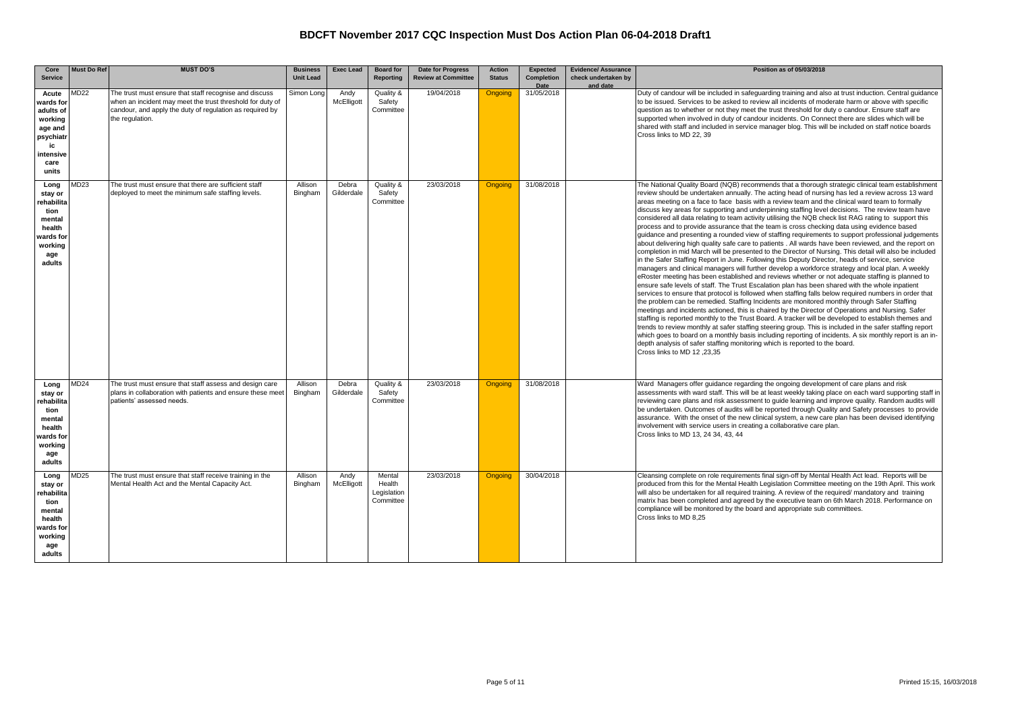| Core<br><b>Service</b>                                                                                    | <b>Must Do Ref</b> | <b>MUST DO'S</b>                                                                                                                                                                                   | <b>Business</b><br><b>Unit Lead</b> | <b>Exec Lead</b>    | <b>Board for</b><br><b>Reporting</b>         | <b>Date for Progress</b><br><b>Review at Committee</b> | <b>Action</b><br><b>Status</b> | <b>Expected</b><br>Completion<br>Date | <b>Evidence/ Assurance</b><br>check undertaken by<br>and date | Position as of 05/03/2018                                                                                                                                                                                                                                                                                                                                                                                                                                                                                                                                                                                                                                                                                                                                                                                                                                                                                                                                                                                                                                                                                                                                                                                                                                                                                                                                                                                                                                                                                                                                                                                                                                                                                                                                                                                                                                                                                                                                                                                                                                                                                              |
|-----------------------------------------------------------------------------------------------------------|--------------------|----------------------------------------------------------------------------------------------------------------------------------------------------------------------------------------------------|-------------------------------------|---------------------|----------------------------------------------|--------------------------------------------------------|--------------------------------|---------------------------------------|---------------------------------------------------------------|------------------------------------------------------------------------------------------------------------------------------------------------------------------------------------------------------------------------------------------------------------------------------------------------------------------------------------------------------------------------------------------------------------------------------------------------------------------------------------------------------------------------------------------------------------------------------------------------------------------------------------------------------------------------------------------------------------------------------------------------------------------------------------------------------------------------------------------------------------------------------------------------------------------------------------------------------------------------------------------------------------------------------------------------------------------------------------------------------------------------------------------------------------------------------------------------------------------------------------------------------------------------------------------------------------------------------------------------------------------------------------------------------------------------------------------------------------------------------------------------------------------------------------------------------------------------------------------------------------------------------------------------------------------------------------------------------------------------------------------------------------------------------------------------------------------------------------------------------------------------------------------------------------------------------------------------------------------------------------------------------------------------------------------------------------------------------------------------------------------------|
| Acute<br>wards for<br>adults of<br>working<br>age and<br>psychiatr<br>ic<br>intensive<br>care<br>units    | AD22               | The trust must ensure that staff recognise and discuss<br>when an incident may meet the trust threshold for duty of<br>candour, and apply the duty of regulation as required by<br>the regulation. | Simon Long                          | Andy<br>McElligott  | Quality &<br>Safety<br>Committee             | 19/04/2018                                             | Ongoing                        | 31/05/2018                            |                                                               | Duty of candour will be included in safequarding training and also at trust induction. Central quidance<br>to be issued. Services to be asked to review all incidents of moderate harm or above with specific<br>question as to whether or not they meet the trust threshold for duty o candour. Ensure staff are<br>supported when involved in duty of candour incidents. On Connect there are slides which will be<br>shared with staff and included in service manager blog. This will be included on staff notice boards<br>Cross links to MD 22, 39                                                                                                                                                                                                                                                                                                                                                                                                                                                                                                                                                                                                                                                                                                                                                                                                                                                                                                                                                                                                                                                                                                                                                                                                                                                                                                                                                                                                                                                                                                                                                               |
| Long<br>stay or<br>rehabilita<br>tion<br>mental<br>health<br>wards for<br>working<br>age<br>adults        | MD23               | The trust must ensure that there are sufficient staff<br>deployed to meet the minimum safe staffing levels.                                                                                        | Allison<br>Bingham                  | Debra<br>Gilderdale | Quality &<br>Safety<br>Committee             | 23/03/2018                                             | <b>Ongoing</b>                 | 31/08/2018                            |                                                               | The National Quality Board (NQB) recommends that a thorough strategic clinical team establishment<br>review should be undertaken annually. The acting head of nursing has led a review across 13 ward<br>areas meeting on a face to face basis with a review team and the clinical ward team to formally<br>discuss key areas for supporting and underpinning staffing level decisions. The review team have<br>considered all data relating to team activity utilising the NQB check list RAG rating to support this<br>process and to provide assurance that the team is cross checking data using evidence based<br>guidance and presenting a rounded view of staffing requirements to support professional judgements<br>about delivering high quality safe care to patients . All wards have been reviewed, and the report on<br>completion in mid March will be presented to the Director of Nursing. This detail will also be included<br>in the Safer Staffing Report in June. Following this Deputy Director, heads of service, service<br>managers and clinical managers will further develop a workforce strategy and local plan. A weekly<br>eRoster meeting has been established and reviews whether or not adequate staffing is planned to<br>ensure safe levels of staff. The Trust Escalation plan has been shared with the whole inpatient<br>services to ensure that protocol is followed when staffing falls below required numbers in order that<br>the problem can be remedied. Staffing Incidents are monitored monthly through Safer Staffing<br>meetings and incidents actioned, this is chaired by the Director of Operations and Nursing. Safer<br>staffing is reported monthly to the Trust Board. A tracker will be developed to establish themes and<br>trends to review monthly at safer staffing steering group. This is included in the safer staffing report<br>which goes to board on a monthly basis including reporting of incidents. A six monthly report is an in-<br>depth analysis of safer staffing monitoring which is reported to the board.<br>Cross links to MD 12 .23.35 |
| Long<br>stay or<br><b>rehabilita</b><br>tion<br>mental<br>health<br>wards for<br>working<br>age<br>adults | MD24               | The trust must ensure that staff assess and design care<br>plans in collaboration with patients and ensure these meet<br>patients' assessed needs.                                                 | Allison<br>Bingham                  | Debra<br>Gilderdale | Quality &<br>Safety<br>Committee             | 23/03/2018                                             | Ongoing                        | 31/08/2018                            |                                                               | Ward Managers offer quidance regarding the ongoing development of care plans and risk<br>assessments with ward staff. This will be at least weekly taking place on each ward supporting staff in<br>reviewing care plans and risk assessment to guide learning and improve quality. Random audits will<br>be undertaken. Outcomes of audits will be reported through Quality and Safety processes to provide<br>assurance. With the onset of the new clinical system, a new care plan has been devised identifying<br>involvement with service users in creating a collaborative care plan.<br>Cross links to MD 13, 24 34, 43, 44                                                                                                                                                                                                                                                                                                                                                                                                                                                                                                                                                                                                                                                                                                                                                                                                                                                                                                                                                                                                                                                                                                                                                                                                                                                                                                                                                                                                                                                                                     |
| Long<br>stay or<br>rehabilita<br>tion<br>mental<br>health<br>wards for<br>working<br>age<br>adults        | MD25               | The trust must ensure that staff receive training in the<br>Mental Health Act and the Mental Capacity Act.                                                                                         | Allison<br>Bingham                  | Andy<br>McElligott  | Mental<br>Health<br>Legislation<br>Committee | 23/03/2018                                             | <b>Ongoing</b>                 | 30/04/2018                            |                                                               | Cleansing complete on role requirements final sign-off by Mental Health Act lead. Reports will be<br>produced from this for the Mental Health Legislation Committee meeting on the 19th April. This work<br>will also be undertaken for all required training. A review of the required/ mandatory and training<br>matrix has been completed and agreed by the executive team on 6th March 2018. Performance on<br>compliance will be monitored by the board and appropriate sub committees.<br>Cross links to MD 8.25                                                                                                                                                                                                                                                                                                                                                                                                                                                                                                                                                                                                                                                                                                                                                                                                                                                                                                                                                                                                                                                                                                                                                                                                                                                                                                                                                                                                                                                                                                                                                                                                 |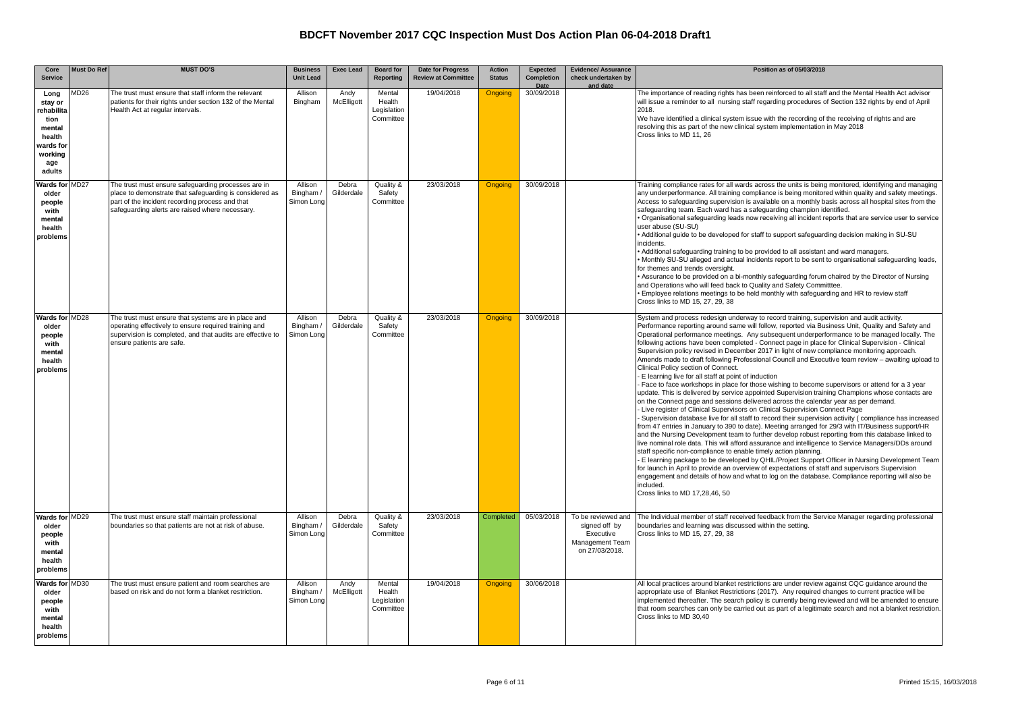| Core                                                                                              | <b>Must Do Ref</b> | <b>MUST DO'S</b>                                                                                                                                                                                                     | <b>Business</b>                    | <b>Exec Lead</b>    | <b>Board for</b>                             | <b>Date for Progress</b>   | <b>Action</b>  | Expected           | <b>Evidence/ Assurance</b>                                                            | Position as of 05/03/2018                                                                                                                                                                                                                                                                                                                                                                                                                                                                                                                                                                                                                                                                                                                                                                                                                                                                                                                                                                                                                                                                                                                                                                                                                                                                                                                                                                                                                                                                                                                                                                                                                                                                                                                                                                                                                                                                                                                  |
|---------------------------------------------------------------------------------------------------|--------------------|----------------------------------------------------------------------------------------------------------------------------------------------------------------------------------------------------------------------|------------------------------------|---------------------|----------------------------------------------|----------------------------|----------------|--------------------|---------------------------------------------------------------------------------------|--------------------------------------------------------------------------------------------------------------------------------------------------------------------------------------------------------------------------------------------------------------------------------------------------------------------------------------------------------------------------------------------------------------------------------------------------------------------------------------------------------------------------------------------------------------------------------------------------------------------------------------------------------------------------------------------------------------------------------------------------------------------------------------------------------------------------------------------------------------------------------------------------------------------------------------------------------------------------------------------------------------------------------------------------------------------------------------------------------------------------------------------------------------------------------------------------------------------------------------------------------------------------------------------------------------------------------------------------------------------------------------------------------------------------------------------------------------------------------------------------------------------------------------------------------------------------------------------------------------------------------------------------------------------------------------------------------------------------------------------------------------------------------------------------------------------------------------------------------------------------------------------------------------------------------------------|
| <b>Service</b>                                                                                    |                    |                                                                                                                                                                                                                      | <b>Unit Lead</b>                   |                     | Reporting                                    | <b>Review at Committee</b> | <b>Status</b>  | Completion<br>Date | check undertaken by<br>and date                                                       |                                                                                                                                                                                                                                                                                                                                                                                                                                                                                                                                                                                                                                                                                                                                                                                                                                                                                                                                                                                                                                                                                                                                                                                                                                                                                                                                                                                                                                                                                                                                                                                                                                                                                                                                                                                                                                                                                                                                            |
| Long<br>stay or<br>ehabilita<br>tion<br>mental<br>health<br>wards foı<br>working<br>age<br>adults | AD <sub>26</sub>   | The trust must ensure that staff inform the relevant<br>patients for their rights under section 132 of the Mental<br>Health Act at regular intervals.                                                                | Allison<br>Bingham                 | Andy<br>McElligott  | Mental<br>Health<br>Legislation<br>Committee | 19/04/2018                 | Ongoing        | 30/09/2018         |                                                                                       | The importance of reading rights has been reinforced to all staff and the Mental Health Act advisor<br>will issue a reminder to all nursing staff regarding procedures of Section 132 rights by end of April<br>2018.<br>We have identified a clinical system issue with the recording of the receiving of rights and are<br>resolving this as part of the new clinical system implementation in May 2018<br>Cross links to MD 11, 26                                                                                                                                                                                                                                                                                                                                                                                                                                                                                                                                                                                                                                                                                                                                                                                                                                                                                                                                                                                                                                                                                                                                                                                                                                                                                                                                                                                                                                                                                                      |
| <b>Nards for MD27</b><br>older<br>people<br>with<br>mental<br>health<br>problems                  |                    | The trust must ensure safeguarding processes are in<br>place to demonstrate that safeguarding is considered as<br>part of the incident recording process and that<br>safeguarding alerts are raised where necessary. | Allison<br>Bingham /<br>Simon Long | Debra<br>Gilderdale | Quality &<br>Safety<br>Committee             | 23/03/2018                 | <b>Ongoing</b> | 30/09/2018         |                                                                                       | Training compliance rates for all wards across the units is being monitored, identifying and managing<br>any underperformance. All training compliance is being monitored within quality and safety meetings.<br>Access to safequarding supervision is available on a monthly basis across all hospital sites from the<br>safeguarding team. Each ward has a safeguarding champion identified.<br>Organisational safeguarding leads now receiving all incident reports that are service user to service •<br>user abuse (SU-SU)<br>Additional quide to be developed for staff to support safequarding decision making in SU-SU<br>incidents.<br>Additional safeguarding training to be provided to all assistant and ward managers.<br>. Monthly SU-SU alleged and actual incidents report to be sent to organisational safeguarding leads,<br>for themes and trends oversight.<br>Assurance to be provided on a bi-monthly safeguarding forum chaired by the Director of Nursing<br>and Operations who will feed back to Quality and Safety Committtee.<br>• Employee relations meetings to be held monthly with safequarding and HR to review staff<br>Cross links to MD 15, 27, 29, 38                                                                                                                                                                                                                                                                                                                                                                                                                                                                                                                                                                                                                                                                                                                                                  |
| Wards for MD28<br>older<br>people<br>with<br>mental<br>health<br>problems                         |                    | The trust must ensure that systems are in place and<br>operating effectively to ensure required training and<br>supervision is completed, and that audits are effective to<br>ensure patients are safe.              | Allison<br>Bingham /<br>Simon Long | Debra<br>Gilderdale | Quality &<br>Safety<br>Committee             | 23/03/2018                 | <b>Ongoing</b> | 30/09/2018         |                                                                                       | System and process redesign underway to record training, supervision and audit activity.<br>Performance reporting around same will follow, reported via Business Unit, Quality and Safety and<br>Operational performance meetings. Any subsequent underperformance to be managed locally. The<br>following actions have been completed - Connect page in place for Clinical Supervision - Clinical<br>Supervision policy revised in December 2017 in light of new compliance monitoring approach.<br>Amends made to draft following Professional Council and Executive team review - awaiting upload to<br>Clinical Policy section of Connect.<br>- E learning live for all staff at point of induction<br>- Face to face workshops in place for those wishing to become supervisors or attend for a 3 year<br>update. This is delivered by service appointed Supervision training Champions whose contacts are<br>on the Connect page and sessions delivered across the calendar year as per demand.<br>- Live register of Clinical Supervisors on Clinical Supervision Connect Page<br>Supervision database live for all staff to record their supervision activity (compliance has increased<br>from 47 entries in January to 390 to date). Meeting arranged for 29/3 with IT/Business support/HR<br>and the Nursing Development team to further develop robust reporting from this database linked to<br>live nominal role data. This will afford assurance and intelligence to Service Managers/DDs around<br>staff specific non-compliance to enable timely action planning.<br>E learning package to be developed by QHIL/Project Support Officer in Nursing Development Team<br>for launch in April to provide an overview of expectations of staff and supervisors Supervision<br>engagement and details of how and what to log on the database. Compliance reporting will also be<br>included.<br>Cross links to MD 17,28,46, 50 |
| Wards for MD29<br>older<br>people<br>with<br>mental<br>health<br>oroblems                         |                    | The trust must ensure staff maintain professional<br>boundaries so that patients are not at risk of abuse.                                                                                                           | Allison<br>Bingham /<br>Simon Long | Debra<br>Gilderdale | Quality &<br>Safety<br>Committee             | 23/03/2018                 | Completed      | 05/03/2018         | To be reviewed and<br>signed off by<br>Executive<br>Management Team<br>on 27/03/2018. | The Individual member of staff received feedback from the Service Manager regarding professional<br>boundaries and learning was discussed within the setting.<br>Cross links to MD 15, 27, 29, 38                                                                                                                                                                                                                                                                                                                                                                                                                                                                                                                                                                                                                                                                                                                                                                                                                                                                                                                                                                                                                                                                                                                                                                                                                                                                                                                                                                                                                                                                                                                                                                                                                                                                                                                                          |
| Wards for MD30<br>older<br>people<br>with<br>mental<br>health<br>problems                         |                    | The trust must ensure patient and room searches are<br>based on risk and do not form a blanket restriction.                                                                                                          | Allison<br>Bingham /<br>Simon Long | Andy<br>McElligott  | Mental<br>Health<br>Legislation<br>Committee | 19/04/2018                 | Ongoing        | 30/06/2018         |                                                                                       | All local practices around blanket restrictions are under review against CQC guidance around the<br>appropriate use of Blanket Restrictions (2017). Any required changes to current practice will be<br>implemented thereafter. The search policy is currently being reviewed and will be amended to ensure<br>that room searches can only be carried out as part of a legitimate search and not a blanket restriction<br>Cross links to MD 30,40                                                                                                                                                                                                                                                                                                                                                                                                                                                                                                                                                                                                                                                                                                                                                                                                                                                                                                                                                                                                                                                                                                                                                                                                                                                                                                                                                                                                                                                                                          |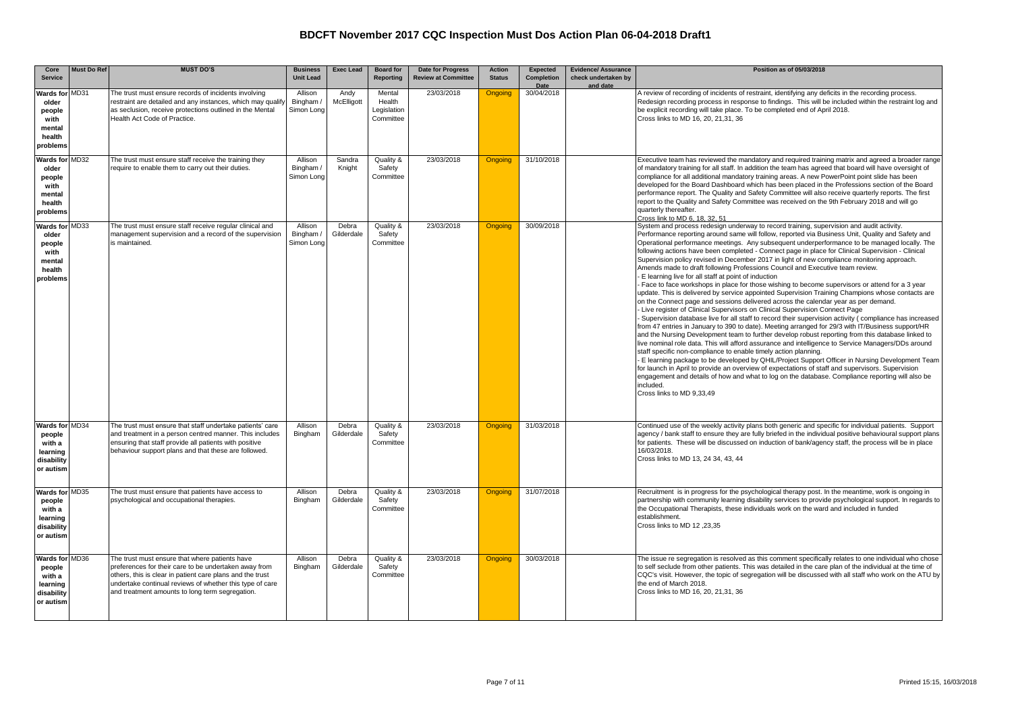| Core                                                                      | <b>Must Do Ref</b> | <b>MUST DO'S</b>                                                                                                                                                                                                                                                                    | <b>Business</b>                    | <b>Exec Lead</b>    | <b>Board</b> for                             | Date for Progress          | <b>Action</b>  | <b>Expected</b>           | <b>Evidence/ Assurance</b>      | Position as of 05/03/2018                                                                                                                                                                                                                                                                                                                                                                                                                                                                                                                                                                                                                                                                                                                                                                                                                                                                                                                                                                                                                                                                                                                                                                                                                                                                                                                                                                                                                                                                                                                                                                                                                                                                                                                                                                                                                                                      |
|---------------------------------------------------------------------------|--------------------|-------------------------------------------------------------------------------------------------------------------------------------------------------------------------------------------------------------------------------------------------------------------------------------|------------------------------------|---------------------|----------------------------------------------|----------------------------|----------------|---------------------------|---------------------------------|--------------------------------------------------------------------------------------------------------------------------------------------------------------------------------------------------------------------------------------------------------------------------------------------------------------------------------------------------------------------------------------------------------------------------------------------------------------------------------------------------------------------------------------------------------------------------------------------------------------------------------------------------------------------------------------------------------------------------------------------------------------------------------------------------------------------------------------------------------------------------------------------------------------------------------------------------------------------------------------------------------------------------------------------------------------------------------------------------------------------------------------------------------------------------------------------------------------------------------------------------------------------------------------------------------------------------------------------------------------------------------------------------------------------------------------------------------------------------------------------------------------------------------------------------------------------------------------------------------------------------------------------------------------------------------------------------------------------------------------------------------------------------------------------------------------------------------------------------------------------------------|
| <b>Service</b>                                                            |                    |                                                                                                                                                                                                                                                                                     | <b>Unit Lead</b>                   |                     | <b>Reporting</b>                             | <b>Review at Committee</b> | <b>Status</b>  | <b>Completion</b><br>Date | check undertaken by<br>and date |                                                                                                                                                                                                                                                                                                                                                                                                                                                                                                                                                                                                                                                                                                                                                                                                                                                                                                                                                                                                                                                                                                                                                                                                                                                                                                                                                                                                                                                                                                                                                                                                                                                                                                                                                                                                                                                                                |
| Wards for MD31<br>older<br>people<br>with<br>mental<br>health<br>problems |                    | The trust must ensure records of incidents involving<br>restraint are detailed and any instances, which may qualify<br>as seclusion, receive protections outlined in the Mental<br>Health Act Code of Practice.                                                                     | Allison<br>Bingham /<br>Simon Long | Andy<br>McElligott  | Mental<br>Health<br>Legislation<br>Committee | 23/03/2018                 | Ongoing        | 30/04/2018                |                                 | A review of recording of incidents of restraint, identifying any deficits in the recording process.<br>Redesign recording process in response to findings. This will be included within the restraint log and<br>be explicit recording will take place. To be completed end of April 2018.<br>Cross links to MD 16, 20, 21,31, 36                                                                                                                                                                                                                                                                                                                                                                                                                                                                                                                                                                                                                                                                                                                                                                                                                                                                                                                                                                                                                                                                                                                                                                                                                                                                                                                                                                                                                                                                                                                                              |
| Wards for MD32<br>older<br>people<br>with<br>mental<br>health<br>problems |                    | The trust must ensure staff receive the training they<br>require to enable them to carry out their duties.                                                                                                                                                                          | Allison<br>Bingham /<br>Simon Long | Sandra<br>Knight    | Quality &<br>Safety<br>Committee             | 23/03/2018                 | <b>Ongoing</b> | 31/10/2018                |                                 | Executive team has reviewed the mandatory and required training matrix and agreed a broader range<br>of mandatory training for all staff. In addition the team has agreed that board will have oversight of<br>compliance for all additional mandatory training areas. A new PowerPoint point slide has been<br>developed for the Board Dashboard which has been placed in the Professions section of the Board<br>performance report. The Quality and Safety Committee will also receive quarterly reports. The first<br>report to the Quality and Safety Committee was received on the 9th February 2018 and will go<br>quarterly thereafter.<br>Cross link to MD 6, 18, 32, 51                                                                                                                                                                                                                                                                                                                                                                                                                                                                                                                                                                                                                                                                                                                                                                                                                                                                                                                                                                                                                                                                                                                                                                                              |
| Wards for MD33<br>older<br>people<br>with<br>mental<br>health<br>problems |                    | The trust must ensure staff receive regular clinical and<br>management supervision and a record of the supervision<br>is maintained.                                                                                                                                                | Allison<br>Bingham /<br>Simon Lond | Debra<br>Gilderdale | Quality &<br>Safety<br>Committee             | 23/03/2018                 | <b>Ongoing</b> | 30/09/2018                |                                 | System and process redesign underway to record training, supervision and audit activity.<br>Performance reporting around same will follow, reported via Business Unit, Quality and Safety and<br>Operational performance meetings. Any subsequent underperformance to be managed locally. The<br>following actions have been completed - Connect page in place for Clinical Supervision - Clinical<br>Supervision policy revised in December 2017 in light of new compliance monitoring approach.<br>Amends made to draft following Professions Council and Executive team review.<br>- E learning live for all staff at point of induction<br>- Face to face workshops in place for those wishing to become supervisors or attend for a 3 year<br>update. This is delivered by service appointed Supervision Training Champions whose contacts are<br>on the Connect page and sessions delivered across the calendar year as per demand.<br>- Live register of Clinical Supervisors on Clinical Supervision Connect Page<br>- Supervision database live for all staff to record their supervision activity (compliance has increased<br>from 47 entries in January to 390 to date). Meeting arranged for 29/3 with IT/Business support/HR<br>and the Nursing Development team to further develop robust reporting from this database linked to<br>live nominal role data. This will afford assurance and intelligence to Service Managers/DDs around<br>staff specific non-compliance to enable timely action planning.<br>- E learning package to be developed by QHIL/Project Support Officer in Nursing Development Team<br>for launch in April to provide an overview of expectations of staff and supervisors. Supervision<br>engagement and details of how and what to log on the database. Compliance reporting will also be<br>included.<br>Cross links to MD 9,33,49 |
| Wards for MD34<br>people<br>with a<br>learning<br>disability<br>or autism |                    | The trust must ensure that staff undertake patients' care<br>and treatment in a person centred manner. This includes<br>ensuring that staff provide all patients with positive<br>behaviour support plans and that these are followed.                                              | Allison<br>Bingham                 | Debra<br>Gilderdale | Quality &<br>Safety<br>Committee             | 23/03/2018                 | <b>Ongoing</b> | 31/03/2018                |                                 | Continued use of the weekly activity plans both generic and specific for individual patients. Support<br>agency / bank staff to ensure they are fully briefed in the individual positive behavioural support plans<br>for patients. These will be discussed on induction of bank/agency staff, the process will be in place<br>16/03/2018.<br>Cross links to MD 13, 24 34, 43, 44                                                                                                                                                                                                                                                                                                                                                                                                                                                                                                                                                                                                                                                                                                                                                                                                                                                                                                                                                                                                                                                                                                                                                                                                                                                                                                                                                                                                                                                                                              |
| Wards for MD35<br>people<br>with a<br>learning<br>disability<br>or autism |                    | The trust must ensure that patients have access to<br>psychological and occupational therapies.                                                                                                                                                                                     | Allison<br>Bingham                 | Debra<br>Gilderdale | Quality &<br>Safety<br>Committee             | 23/03/2018                 | <b>Ongoing</b> | 31/07/2018                |                                 | Recruitment is in progress for the psychological therapy post. In the meantime, work is ongoing in<br>partnership with community learning disability services to provide psychological support. In regards to<br>the Occupational Therapists, these individuals work on the ward and included in funded<br>establishment.<br>Cross links to MD 12, 23,35                                                                                                                                                                                                                                                                                                                                                                                                                                                                                                                                                                                                                                                                                                                                                                                                                                                                                                                                                                                                                                                                                                                                                                                                                                                                                                                                                                                                                                                                                                                       |
| Wards for MD36<br>people<br>with a<br>learning<br>disability<br>or autism |                    | The trust must ensure that where patients have<br>preferences for their care to be undertaken away from<br>others, this is clear in patient care plans and the trust<br>undertake continual reviews of whether this type of care<br>and treatment amounts to long term segregation. | Allison<br>Bingham                 | Debra<br>Gilderdale | Quality &<br>Safety<br>Committee             | 23/03/2018                 | <b>Ongoing</b> | 30/03/2018                |                                 | The issue re segregation is resolved as this comment specifically relates to one individual who chose<br>to self seclude from other patients. This was detailed in the care plan of the individual at the time of<br>CQC's visit. However, the topic of segregation will be discussed with all staff who work on the ATU by<br>the end of March 2018.<br>Cross links to MD 16, 20, 21, 31, 36                                                                                                                                                                                                                                                                                                                                                                                                                                                                                                                                                                                                                                                                                                                                                                                                                                                                                                                                                                                                                                                                                                                                                                                                                                                                                                                                                                                                                                                                                  |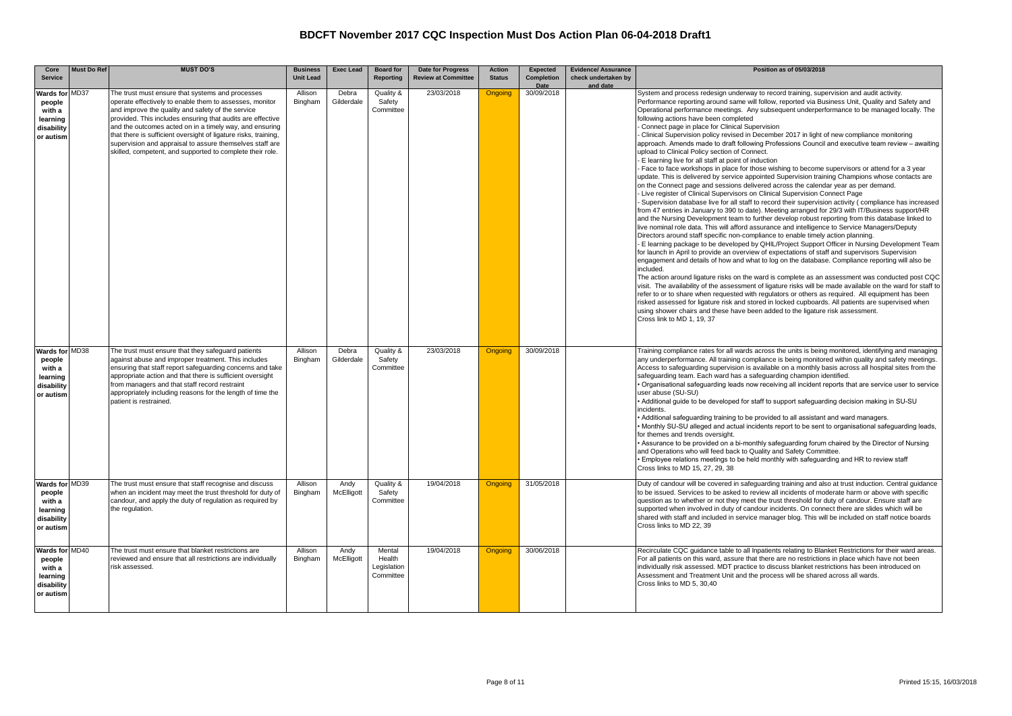| Core<br><b>Service</b>                                                    | <b>Must Do Ref</b> | <b>MUST DO'S</b>                                                                                                                                                                                                                                                                                                                                                                                                                                                                      | <b>Business</b><br><b>Unit Lead</b> | <b>Exec Lead</b>    | <b>Board for</b><br><b>Reporting</b>         | Date for Progress<br><b>Review at Committee</b> | <b>Action</b><br><b>Status</b> | <b>Expected</b><br>Completion | <b>Evidence/ Assurance</b><br>check undertaken by<br>and date | Position as of 05/03/2018                                                                                                                                                                                                                                                                                                                                                                                                                                                                                                                                                                                                                                                                                                                                                                                                                                                                                                                                                                                                                                                                                                                                                                                                                                                                                                                                                                                                                                                                                                                                                                                                                                                                                                                                                                                                                                                                                                                                                                                                                                                                                                                                                                                                                                                                                                                                                                                                                                           |
|---------------------------------------------------------------------------|--------------------|---------------------------------------------------------------------------------------------------------------------------------------------------------------------------------------------------------------------------------------------------------------------------------------------------------------------------------------------------------------------------------------------------------------------------------------------------------------------------------------|-------------------------------------|---------------------|----------------------------------------------|-------------------------------------------------|--------------------------------|-------------------------------|---------------------------------------------------------------|---------------------------------------------------------------------------------------------------------------------------------------------------------------------------------------------------------------------------------------------------------------------------------------------------------------------------------------------------------------------------------------------------------------------------------------------------------------------------------------------------------------------------------------------------------------------------------------------------------------------------------------------------------------------------------------------------------------------------------------------------------------------------------------------------------------------------------------------------------------------------------------------------------------------------------------------------------------------------------------------------------------------------------------------------------------------------------------------------------------------------------------------------------------------------------------------------------------------------------------------------------------------------------------------------------------------------------------------------------------------------------------------------------------------------------------------------------------------------------------------------------------------------------------------------------------------------------------------------------------------------------------------------------------------------------------------------------------------------------------------------------------------------------------------------------------------------------------------------------------------------------------------------------------------------------------------------------------------------------------------------------------------------------------------------------------------------------------------------------------------------------------------------------------------------------------------------------------------------------------------------------------------------------------------------------------------------------------------------------------------------------------------------------------------------------------------------------------------|
| Wards for MD37<br>people<br>with a<br>learning<br>disability<br>or autism |                    | The trust must ensure that systems and processes<br>operate effectively to enable them to assesses, monitor<br>and improve the quality and safety of the service<br>provided. This includes ensuring that audits are effective<br>and the outcomes acted on in a timely way, and ensuring<br>that there is sufficient oversight of ligature risks, training,<br>supervision and appraisal to assure themselves staff are<br>skilled, competent, and supported to complete their role. | Allison<br>Bingham                  | Debra<br>Gilderdale | Quality &<br>Safety<br>Committee             | 23/03/2018                                      | <b>Ongoing</b>                 | Date<br>30/09/2018            |                                                               | System and process redesign underway to record training, supervision and audit activity.<br>Performance reporting around same will follow, reported via Business Unit, Quality and Safety and<br>Operational performance meetings. Any subsequent underperformance to be managed locally. The<br>following actions have been completed<br>Connect page in place for Clinical Supervision<br>Clinical Supervision policy revised in December 2017 in light of new compliance monitoring<br>approach. Amends made to draft following Professions Council and executive team review - awaiting<br>upload to Clinical Policy section of Connect.<br>- E learning live for all staff at point of induction<br>- Face to face workshops in place for those wishing to become supervisors or attend for a 3 year<br>update. This is delivered by service appointed Supervision training Champions whose contacts are<br>on the Connect page and sessions delivered across the calendar year as per demand.<br>- Live register of Clinical Supervisors on Clinical Supervision Connect Page<br>Supervision database live for all staff to record their supervision activity (compliance has increased<br>from 47 entries in January to 390 to date). Meeting arranged for 29/3 with IT/Business support/HR<br>and the Nursing Development team to further develop robust reporting from this database linked to<br>live nominal role data. This will afford assurance and intelligence to Service Managers/Deputy<br>Directors around staff specific non-compliance to enable timely action planning.<br>- E learning package to be developed by QHIL/Project Support Officer in Nursing Development Team<br>for launch in April to provide an overview of expectations of staff and supervisors Supervision<br>engagement and details of how and what to log on the database. Compliance reporting will also be<br>included.<br>The action around ligature risks on the ward is complete as an assessment was conducted post CQC<br>visit. The availability of the assessment of ligature risks will be made available on the ward for staff to<br>refer to or to share when requested with regulators or others as required. All equipment has been<br>risked assessed for ligature risk and stored in locked cupboards. All patients are supervised when<br>using shower chairs and these have been added to the ligature risk assessment.<br>Cross link to MD 1, 19, 37 |
| Wards for MD38<br>people<br>with a<br>learning<br>disability<br>or autism |                    | The trust must ensure that they safeguard patients<br>against abuse and improper treatment. This includes<br>ensuring that staff report safeguarding concerns and take<br>appropriate action and that there is sufficient oversight<br>from managers and that staff record restraint<br>appropriately including reasons for the length of time the<br>patient is restrained.                                                                                                          | Allison<br>Bingham                  | Debra<br>Gilderdale | Quality &<br>Safety<br>Committee             | 23/03/2018                                      | <b>Ongoing</b>                 | 30/09/2018                    |                                                               | Training compliance rates for all wards across the units is being monitored, identifying and managing<br>any underperformance. All training compliance is being monitored within quality and safety meetings.<br>Access to safeguarding supervision is available on a monthly basis across all hospital sites from the<br>safeguarding team. Each ward has a safeguarding champion identified.<br>. Organisational safeguarding leads now receiving all incident reports that are service user to service<br>user abuse (SU-SU)<br>• Additional quide to be developed for staff to support safequarding decision making in SU-SU<br>incidents.<br>• Additional safeguarding training to be provided to all assistant and ward managers.<br>. Monthly SU-SU alleged and actual incidents report to be sent to organisational safeguarding leads<br>for themes and trends oversight.<br>. Assurance to be provided on a bi-monthly safeguarding forum chaired by the Director of Nursing<br>and Operations who will feed back to Quality and Safety Committee.<br>. Employee relations meetings to be held monthly with safeguarding and HR to review staff<br>Cross links to MD 15, 27, 29, 38                                                                                                                                                                                                                                                                                                                                                                                                                                                                                                                                                                                                                                                                                                                                                                                                                                                                                                                                                                                                                                                                                                                                                                                                                                                                       |
| Wards for MD39<br>people<br>with a<br>learning<br>disability<br>or autism |                    | The trust must ensure that staff recognise and discuss<br>when an incident may meet the trust threshold for duty of<br>candour, and apply the duty of regulation as required by<br>the regulation.                                                                                                                                                                                                                                                                                    | Allison<br>Bingham                  | Andy<br>McElligott  | Quality &<br>Safety<br>Committee             | 19/04/2018                                      | <b>Ongoing</b>                 | 31/05/2018                    |                                                               | Duty of candour will be covered in safeguarding training and also at trust induction. Central quidance<br>to be issued. Services to be asked to review all incidents of moderate harm or above with specific<br>question as to whether or not they meet the trust threshold for duty of candour. Ensure staff are<br>supported when involved in duty of candour incidents. On connect there are slides which will be<br>shared with staff and included in service manager blog. This will be included on staff notice boards<br>Cross links to MD 22, 39                                                                                                                                                                                                                                                                                                                                                                                                                                                                                                                                                                                                                                                                                                                                                                                                                                                                                                                                                                                                                                                                                                                                                                                                                                                                                                                                                                                                                                                                                                                                                                                                                                                                                                                                                                                                                                                                                                            |
| Wards for MD40<br>people<br>with a<br>learning<br>disability<br>or autism |                    | The trust must ensure that blanket restrictions are<br>reviewed and ensure that all restrictions are individually<br>risk assessed.                                                                                                                                                                                                                                                                                                                                                   | Allison<br>Bingham                  | Andy<br>McElligott  | Mental<br>Health<br>Legislation<br>Committee | 19/04/2018                                      | <b>Ongoing</b>                 | 30/06/2018                    |                                                               | Recirculate CQC quidance table to all Inpatients relating to Blanket Restrictions for their ward areas.<br>For all patients on this ward, assure that there are no restrictions in place which have not been<br>individually risk assessed. MDT practice to discuss blanket restrictions has been introduced on<br>Assessment and Treatment Unit and the process will be shared across all wards.<br>Cross links to MD 5, 30.40                                                                                                                                                                                                                                                                                                                                                                                                                                                                                                                                                                                                                                                                                                                                                                                                                                                                                                                                                                                                                                                                                                                                                                                                                                                                                                                                                                                                                                                                                                                                                                                                                                                                                                                                                                                                                                                                                                                                                                                                                                     |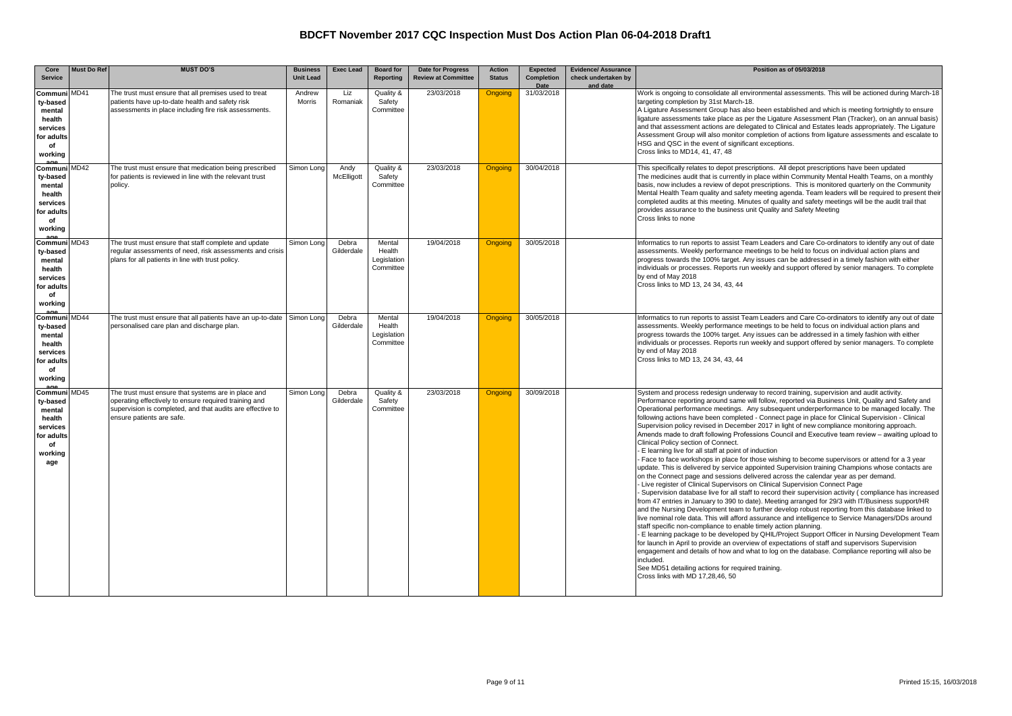| Core                                                                                           | <b>Must Do Ref</b> | <b>MUST DO'S</b>                                                                                                                                                                                        | <b>Business</b>  | <b>Exec Lead</b>    | <b>Board for</b>                             | Date for Progress          | <b>Action</b>  | Expected                  | <b>Evidence/ Assurance</b>      | Position as of 05/03/2018                                                                                                                                                                                                                                                                                                                                                                                                                                                                                                                                                                                                                                                                                                                                                                                                                                                                                                                                                                                                                                                                                                                                                                                                                                                                                                                                                                                                                                                                                                                                                                                                                                                                                                                                                                                                                                                                                                                                                                          |
|------------------------------------------------------------------------------------------------|--------------------|---------------------------------------------------------------------------------------------------------------------------------------------------------------------------------------------------------|------------------|---------------------|----------------------------------------------|----------------------------|----------------|---------------------------|---------------------------------|----------------------------------------------------------------------------------------------------------------------------------------------------------------------------------------------------------------------------------------------------------------------------------------------------------------------------------------------------------------------------------------------------------------------------------------------------------------------------------------------------------------------------------------------------------------------------------------------------------------------------------------------------------------------------------------------------------------------------------------------------------------------------------------------------------------------------------------------------------------------------------------------------------------------------------------------------------------------------------------------------------------------------------------------------------------------------------------------------------------------------------------------------------------------------------------------------------------------------------------------------------------------------------------------------------------------------------------------------------------------------------------------------------------------------------------------------------------------------------------------------------------------------------------------------------------------------------------------------------------------------------------------------------------------------------------------------------------------------------------------------------------------------------------------------------------------------------------------------------------------------------------------------------------------------------------------------------------------------------------------------|
| <b>Service</b>                                                                                 |                    |                                                                                                                                                                                                         | <b>Unit Lead</b> |                     | Reporting                                    | <b>Review at Committee</b> | <b>Status</b>  | <b>Completion</b><br>Date | check undertaken by<br>and date |                                                                                                                                                                                                                                                                                                                                                                                                                                                                                                                                                                                                                                                                                                                                                                                                                                                                                                                                                                                                                                                                                                                                                                                                                                                                                                                                                                                                                                                                                                                                                                                                                                                                                                                                                                                                                                                                                                                                                                                                    |
| Communi MD41<br>ty-based<br>mental<br>health<br>services<br>for adults<br>of<br>working        |                    | The trust must ensure that all premises used to treat<br>patients have up-to-date health and safety risk<br>assessments in place including fire risk assessments.                                       | Andrew<br>Morris | Liz<br>Romaniak     | Quality &<br>Safety<br>Committee             | 23/03/2018                 | <b>Ongoing</b> | 31/03/2018                |                                 | Work is ongoing to consolidate all environmental assessments. This will be actioned during March-18<br>targeting completion by 31st March-18.<br>A Ligature Assessment Group has also been established and which is meeting fortnightly to ensure<br>ligature assessments take place as per the Ligature Assessment Plan (Tracker), on an annual basis)<br>and that assessment actions are delegated to Clinical and Estates leads appropriately. The Ligature<br>Assessment Group will also monitor completion of actions from ligature assessments and escalate to<br>HSG and QSC in the event of significant exceptions.<br>Cross links to MD14, 41, 47, 48                                                                                                                                                                                                                                                                                                                                                                                                                                                                                                                                                                                                                                                                                                                                                                                                                                                                                                                                                                                                                                                                                                                                                                                                                                                                                                                                     |
| Communi MD42<br>ty-based<br>mental<br>health<br>services<br>for adults<br>of<br>working        |                    | The trust must ensure that medication being prescribed<br>for patients is reviewed in line with the relevant trust<br>policy.                                                                           | Simon Long       | Andv<br>McElligott  | Quality &<br>Safety<br>Committee             | 23/03/2018                 | <b>Ongoing</b> | 30/04/2018                |                                 | This specifically relates to depot prescriptions. All depot prescriptions have been updated<br>The medicines audit that is currently in place within Community Mental Health Teams, on a monthly<br>basis, now includes a review of depot prescriptions. This is monitored quarterly on the Community<br>Mental Health Team quality and safety meeting agenda. Team leaders will be required to present their<br>completed audits at this meeting. Minutes of quality and safety meetings will be the audit trail that<br>provides assurance to the business unit Quality and Safety Meeting<br>Cross links to none                                                                                                                                                                                                                                                                                                                                                                                                                                                                                                                                                                                                                                                                                                                                                                                                                                                                                                                                                                                                                                                                                                                                                                                                                                                                                                                                                                                |
| Communi MD43<br>ty-based<br>mental<br>health<br>services<br>for adults<br>of<br>working        |                    | The trust must ensure that staff complete and update<br>regular assessments of need, risk assessments and crisis<br>plans for all patients in line with trust policy.                                   | Simon Lona       | Debra<br>Gilderdale | Mental<br>Health<br>Legislation<br>Committee | 19/04/2018                 | <b>Ongoing</b> | 30/05/2018                |                                 | Informatics to run reports to assist Team Leaders and Care Co-ordinators to identify any out of date<br>assessments. Weekly performance meetings to be held to focus on individual action plans and<br>progress towards the 100% target. Any issues can be addressed in a timely fashion with either<br>individuals or processes. Reports run weekly and support offered by senior managers. To complete<br>by end of May 2018<br>Cross links to MD 13, 24 34, 43, 44                                                                                                                                                                                                                                                                                                                                                                                                                                                                                                                                                                                                                                                                                                                                                                                                                                                                                                                                                                                                                                                                                                                                                                                                                                                                                                                                                                                                                                                                                                                              |
| Communi<br>ty-based<br>mental<br>health<br>services<br>for adults<br>of<br>working             | <b>MD44</b>        | The trust must ensure that all patients have an up-to-date<br>personalised care plan and discharge plan.                                                                                                | Simon Long       | Debra<br>Gilderdale | Mental<br>Health<br>Legislation<br>Committee | 19/04/2018                 | <b>Ongoing</b> | 30/05/2018                |                                 | Informatics to run reports to assist Team Leaders and Care Co-ordinators to identify any out of date<br>assessments. Weekly performance meetings to be held to focus on individual action plans and<br>progress towards the 100% target. Any issues can be addressed in a timely fashion with either<br>individuals or processes. Reports run weekly and support offered by senior managers. To complete<br>by end of May 2018<br>Cross links to MD 13, 24 34, 43, 44                                                                                                                                                                                                                                                                                                                                                                                                                                                                                                                                                                                                                                                                                                                                                                                                                                                                                                                                                                                                                                                                                                                                                                                                                                                                                                                                                                                                                                                                                                                              |
| Communi MD45<br>ty-based<br>mental<br>health<br>services<br>for adults<br>of<br>working<br>age |                    | The trust must ensure that systems are in place and<br>operating effectively to ensure required training and<br>supervision is completed, and that audits are effective to<br>ensure patients are safe. | Simon Lona       | Debra<br>Gilderdale | Quality &<br>Safety<br>Committee             | 23/03/2018                 | <b>Ongoing</b> | 30/09/2018                |                                 | System and process redesign underway to record training, supervision and audit activity.<br>Performance reporting around same will follow, reported via Business Unit, Quality and Safety and<br>Operational performance meetings. Any subsequent underperformance to be managed locally. The<br>following actions have been completed - Connect page in place for Clinical Supervision - Clinical<br>Supervision policy revised in December 2017 in light of new compliance monitoring approach.<br>Amends made to draft following Professions Council and Executive team review - awaiting upload to<br>Clinical Policy section of Connect.<br>- E learning live for all staff at point of induction<br>- Face to face workshops in place for those wishing to become supervisors or attend for a 3 year<br>update. This is delivered by service appointed Supervision training Champions whose contacts are<br>on the Connect page and sessions delivered across the calendar year as per demand.<br>- Live register of Clinical Supervisors on Clinical Supervision Connect Page<br>Supervision database live for all staff to record their supervision activity (compliance has increased<br>from 47 entries in January to 390 to date). Meeting arranged for 29/3 with IT/Business support/HR<br>and the Nursing Development team to further develop robust reporting from this database linked to<br>live nominal role data. This will afford assurance and intelligence to Service Managers/DDs around<br>staff specific non-compliance to enable timely action planning.<br>- E learning package to be developed by QHIL/Project Support Officer in Nursing Development Team<br>for launch in April to provide an overview of expectations of staff and supervisors Supervision<br>engagement and details of how and what to log on the database. Compliance reporting will also be<br>included.<br>See MD51 detailing actions for required training.<br>Cross links with MD 17,28,46, 50 |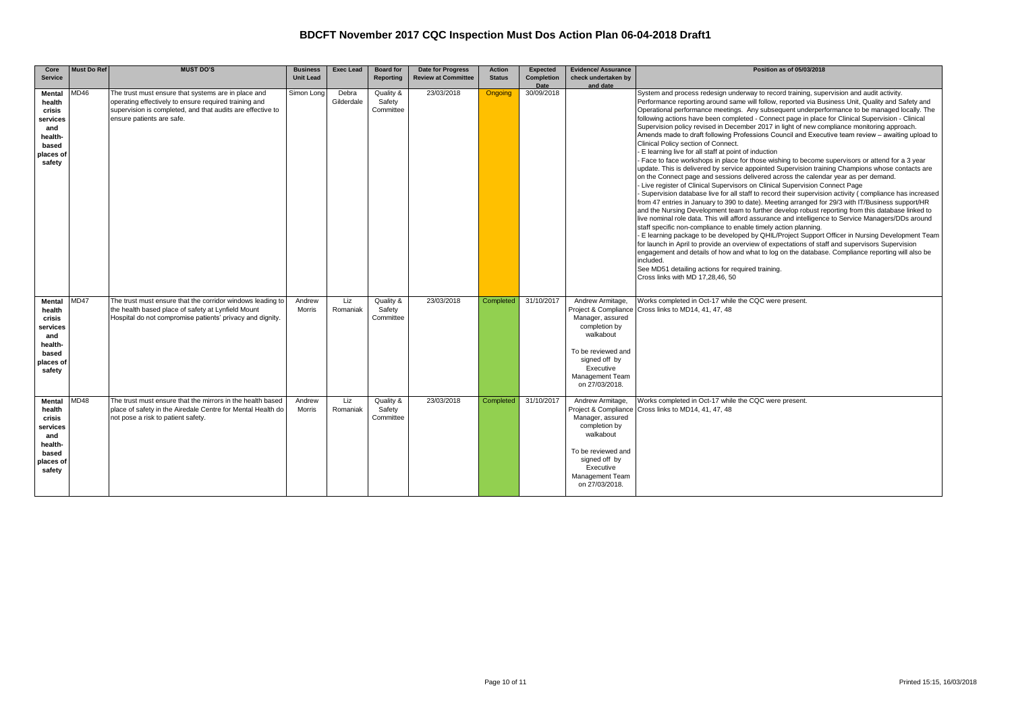| Core<br><b>Service</b>                                                                          | <b>Must Do Ref</b> | <b>MUST DO'S</b>                                                                                                                                                                                        | <b>Business</b><br><b>Unit Lead</b> | <b>Exec Lead</b>    | <b>Board for</b><br>Reporting    | <b>Date for Progress</b><br><b>Review at Committee</b> | <b>Action</b><br><b>Status</b> | <b>Expected</b><br><b>Completion</b> | <b>Evidence/ Assurance</b><br>check undertaken by                                                                                                                                   | Position as of 05/03/2018                                                                                                                                                                                                                                                                                                                                                                                                                                                                                                                                                                                                                                                                                                                                                                                                                                                                                                                                                                                                                                                                                                                                                                                                                                                                                                                                                                                                                                                                                                                                                                                                                                                                                                                                                                                                                                                                                                                                                                        |
|-------------------------------------------------------------------------------------------------|--------------------|---------------------------------------------------------------------------------------------------------------------------------------------------------------------------------------------------------|-------------------------------------|---------------------|----------------------------------|--------------------------------------------------------|--------------------------------|--------------------------------------|-------------------------------------------------------------------------------------------------------------------------------------------------------------------------------------|--------------------------------------------------------------------------------------------------------------------------------------------------------------------------------------------------------------------------------------------------------------------------------------------------------------------------------------------------------------------------------------------------------------------------------------------------------------------------------------------------------------------------------------------------------------------------------------------------------------------------------------------------------------------------------------------------------------------------------------------------------------------------------------------------------------------------------------------------------------------------------------------------------------------------------------------------------------------------------------------------------------------------------------------------------------------------------------------------------------------------------------------------------------------------------------------------------------------------------------------------------------------------------------------------------------------------------------------------------------------------------------------------------------------------------------------------------------------------------------------------------------------------------------------------------------------------------------------------------------------------------------------------------------------------------------------------------------------------------------------------------------------------------------------------------------------------------------------------------------------------------------------------------------------------------------------------------------------------------------------------|
|                                                                                                 |                    |                                                                                                                                                                                                         |                                     |                     |                                  |                                                        |                                | Date                                 | and date                                                                                                                                                                            |                                                                                                                                                                                                                                                                                                                                                                                                                                                                                                                                                                                                                                                                                                                                                                                                                                                                                                                                                                                                                                                                                                                                                                                                                                                                                                                                                                                                                                                                                                                                                                                                                                                                                                                                                                                                                                                                                                                                                                                                  |
| <b>Mental</b><br>health<br>crisis<br>services<br>and<br>health-<br>based<br>places of<br>safety | <b>MD46</b>        | The trust must ensure that systems are in place and<br>operating effectively to ensure required training and<br>supervision is completed, and that audits are effective to<br>ensure patients are safe. | Simon Long                          | Debra<br>Gilderdale | Quality &<br>Safetv<br>Committee | 23/03/2018                                             | <b>Ongoing</b>                 | 30/09/2018                           |                                                                                                                                                                                     | System and process redesign underway to record training, supervision and audit activity.<br>Performance reporting around same will follow, reported via Business Unit, Quality and Safety and<br>Operational performance meetings. Any subsequent underperformance to be managed locally. The<br>following actions have been completed - Connect page in place for Clinical Supervision - Clinical<br>Supervision policy revised in December 2017 in light of new compliance monitoring approach.<br>Amends made to draft following Professions Council and Executive team review - awaiting upload to<br>Clinical Policy section of Connect.<br>- E learning live for all staff at point of induction<br>Face to face workshops in place for those wishing to become supervisors or attend for a 3 year<br>update. This is delivered by service appointed Supervision training Champions whose contacts are<br>on the Connect page and sessions delivered across the calendar year as per demand.<br>- Live register of Clinical Supervisors on Clinical Supervision Connect Page<br>Supervision database live for all staff to record their supervision activity (compliance has increased<br>from 47 entries in January to 390 to date). Meeting arranged for 29/3 with IT/Business support/HR<br>and the Nursing Development team to further develop robust reporting from this database linked to<br>live nominal role data. This will afford assurance and intelligence to Service Managers/DDs around<br>staff specific non-compliance to enable timely action planning.<br>- E learning package to be developed by QHIL/Project Support Officer in Nursing Development Team<br>for launch in April to provide an overview of expectations of staff and supervisors Supervision<br>engagement and details of how and what to log on the database. Compliance reporting will also be<br>included.<br>See MD51 detailing actions for required training.<br>Cross links with MD 17,28,46, 50 |
| <b>Mental</b><br>health<br>crisis<br>services<br>and<br>health-<br>based<br>places of<br>safety | MD47               | The trust must ensure that the corridor windows leading to<br>the health based place of safety at Lynfield Mount<br>Hospital do not compromise patients' privacy and dignity.                           | Andrew<br>Morris                    | Liz<br>Romaniak     | Quality &<br>Safety<br>Committee | 23/03/2018                                             | Completed                      | 31/10/2017                           | Andrew Armitage,<br>Project & Compliance<br>Manager, assured<br>completion by<br>walkabout<br>To be reviewed and<br>signed off by<br>Executive<br>Management Team<br>on 27/03/2018. | Works completed in Oct-17 while the CQC were present.<br>Cross links to MD14, 41, 47, 48                                                                                                                                                                                                                                                                                                                                                                                                                                                                                                                                                                                                                                                                                                                                                                                                                                                                                                                                                                                                                                                                                                                                                                                                                                                                                                                                                                                                                                                                                                                                                                                                                                                                                                                                                                                                                                                                                                         |
| Mental MD48<br>health<br>crisis<br>services<br>and<br>health-<br>based<br>places of<br>safety   |                    | The trust must ensure that the mirrors in the health based<br>place of safety in the Airedale Centre for Mental Health do<br>not pose a risk to patient safety.                                         | Andrew<br>Morris                    | Liz<br>Romaniak     | Quality &<br>Safety<br>Committee | 23/03/2018                                             | Completed                      | 31/10/2017                           | Andrew Armitage,<br>Project & Compliance<br>Manager, assured<br>completion by<br>walkabout<br>To be reviewed and<br>signed off by<br>Executive<br>Management Team<br>on 27/03/2018. | Works completed in Oct-17 while the CQC were present.<br>Cross links to MD14, 41, 47, 48                                                                                                                                                                                                                                                                                                                                                                                                                                                                                                                                                                                                                                                                                                                                                                                                                                                                                                                                                                                                                                                                                                                                                                                                                                                                                                                                                                                                                                                                                                                                                                                                                                                                                                                                                                                                                                                                                                         |